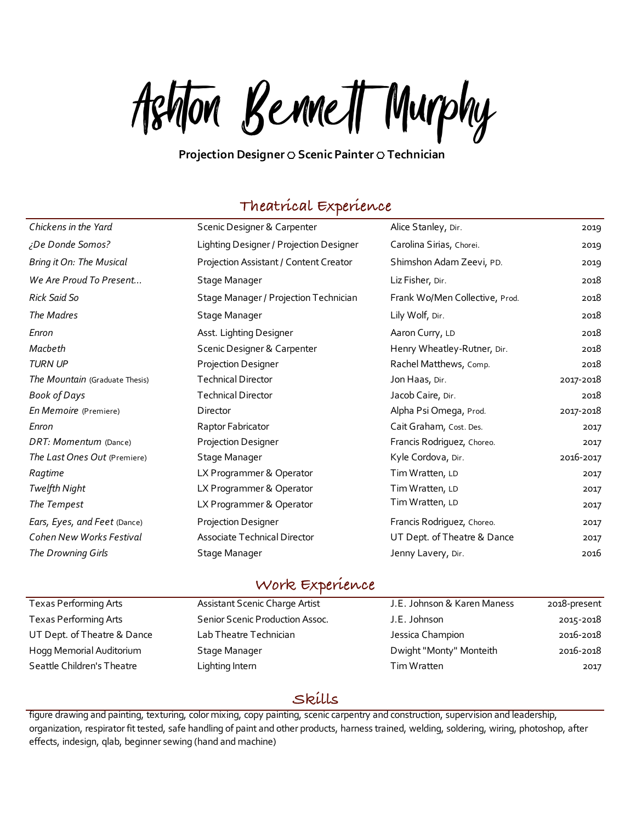Ashton Bennett Murphy

#### **Projection Designer** ⎔ **Scenic Painter** ⎔ **Technician**

## **Theatrical Experience**

| Chickens in the Yard           | Scenic Designer & Carpenter             | Alice Stanley, Dir.            | 2019      |
|--------------------------------|-----------------------------------------|--------------------------------|-----------|
| ¿De Donde Somos?               | Lighting Designer / Projection Designer | Carolina Sirias, Chorei.       | 2019      |
| Bring it On: The Musical       | Projection Assistant / Content Creator  | Shimshon Adam Zeevi, PD.       | 2019      |
| We Are Proud To Present        | Stage Manager                           | Liz Fisher, Dir.               | 2018      |
| <b>Rick Said So</b>            | Stage Manager / Projection Technician   | Frank Wo/Men Collective, Prod. | 2018      |
| The Madres                     | Stage Manager                           | Lily Wolf, Dir.                | 2018      |
| Enron                          | Asst. Lighting Designer                 | Aaron Curry, LD                | 2018      |
| Macbeth                        | Scenic Designer & Carpenter             | Henry Wheatley-Rutner, Dir.    | 2018      |
| <b>TURN UP</b>                 | Projection Designer                     | Rachel Matthews, Comp.         | 2018      |
| The Mountain (Graduate Thesis) | <b>Technical Director</b>               | Jon Haas, Dir.                 | 2017-2018 |
| <b>Book of Days</b>            | <b>Technical Director</b>               | Jacob Caire, Dir.              | 2018      |
| En Memoire (Premiere)          | Director                                | Alpha Psi Omega, Prod.         | 2017-2018 |
| Enron                          | Raptor Fabricator                       | Cait Graham, Cost. Des.        | 2017      |
| DRT: Momentum (Dance)          | Projection Designer                     | Francis Rodriguez, Choreo.     | 2017      |
| The Last Ones Out (Premiere)   | Stage Manager                           | Kyle Cordova, Dir.             | 2016-2017 |
| Ragtime                        | LX Programmer & Operator                | Tim Wratten, LD                | 2017      |
| Twelfth Night                  | LX Programmer & Operator                | Tim Wratten, LD                | 2017      |
| The Tempest                    | LX Programmer & Operator                | Tim Wratten, LD                | 2017      |
| Ears, Eyes, and Feet (Dance)   | Projection Designer                     | Francis Rodriguez, Choreo.     | 2017      |
| Cohen New Works Festival       | Associate Technical Director            | UT Dept. of Theatre & Dance    | 2017      |
| The Drowning Girls             | Stage Manager                           | Jenny Lavery, Dir.             | 2016      |
|                                |                                         |                                |           |

### **Work Experience**

| Texas Performing Arts       | Assistant Scenic Charge Artist  | J.E. Johnson & Karen Maness | 2018-present |
|-----------------------------|---------------------------------|-----------------------------|--------------|
| Texas Performing Arts       | Senior Scenic Production Assoc. | J.E. Johnson                | 2015-2018    |
| UT Dept. of Theatre & Dance | Lab Theatre Technician          | Jessica Champion            | 2016-2018    |
| Hogg Memorial Auditorium    | Stage Manager                   | Dwight "Monty" Monteith     | 2016-2018    |
| Seattle Children's Theatre  | Lighting Intern                 | Tim Wratten                 | 2017         |
|                             |                                 |                             |              |

## **Skills**

figure drawing and painting, texturing, color mixing, copy painting, scenic carpentry and construction, supervision and leadership, organization, respirator fit tested, safe handling of paint and other products, harness trained, welding, soldering, wiring, photoshop, after effects, indesign, qlab, beginner sewing (hand and machine)